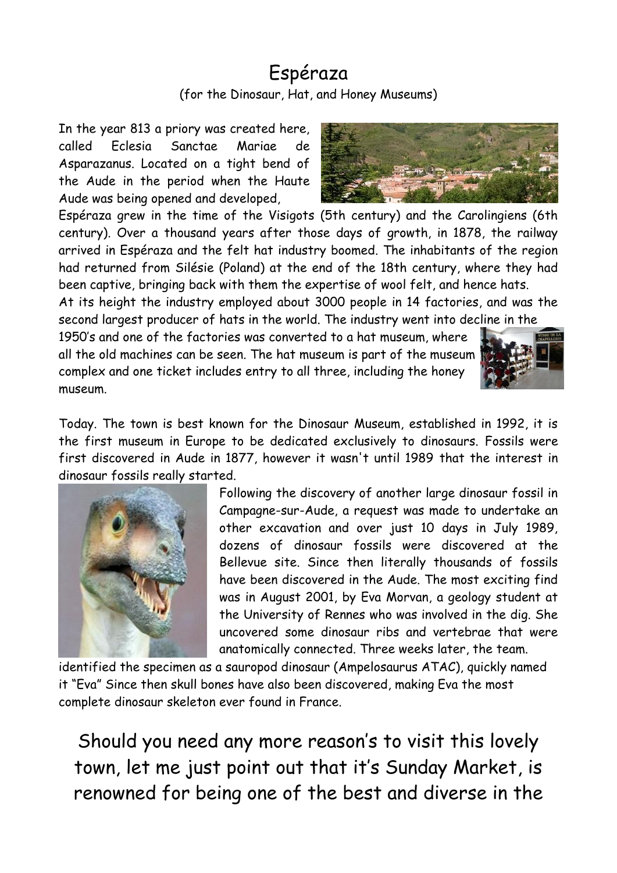## Espéraza (for the Dinosaur, Hat, and Honey Museums)

In the year 813 a priory was created here, called Eclesia Sanctae Mariae de Asparazanus. Located on a tight bend of the Aude in the period when the Haute Aude was being opened and developed,



Espéraza grew in the time of the Visigots (5th century) and the Carolingiens (6th century). Over a thousand years after those days of growth, in 1878, the railway arrived in Espéraza and the felt hat industry boomed. The inhabitants of the region had returned from Silésie (Poland) at the end of the 18th century, where they had been captive, bringing back with them the expertise of wool felt, and hence hats.

At its height the industry employed about 3000 people in 14 factories, and was the second largest producer of hats in the world. The industry went into decline in the

1950's and one of the factories was converted to a hat museum, where all the old machines can be seen. The hat museum is part of the museum complex and one ticket includes entry to all three, including the honey museum.



Today. The town is best known for the Dinosaur Museum, established in 1992, it is the first museum in Europe to be dedicated exclusively to dinosaurs. Fossils were first discovered in Aude in 1877, however it wasn't until 1989 that the interest in dinosaur fossils really started.



Following the discovery of another large dinosaur fossil in Campagne-sur-Aude, a request was made to undertake an other excavation and over just 10 days in July 1989, dozens of dinosaur fossils were discovered at the Bellevue site. Since then literally thousands of fossils have been discovered in the Aude. The most exciting find was in August 2001, by Eva Morvan, a geology student at the University of Rennes who was involved in the dig. She uncovered some dinosaur ribs and vertebrae that were anatomically connected. Three weeks later, the team.

identified the specimen as a sauropod dinosaur (Ampelosaurus ATAC), quickly named it "Eva" Since then skull bones have also been discovered, making Eva the most complete dinosaur skeleton ever found in France.

Should you need any more reason's to visit this lovely town, let me just point out that it's Sunday Market, is renowned for being one of the best and diverse in the